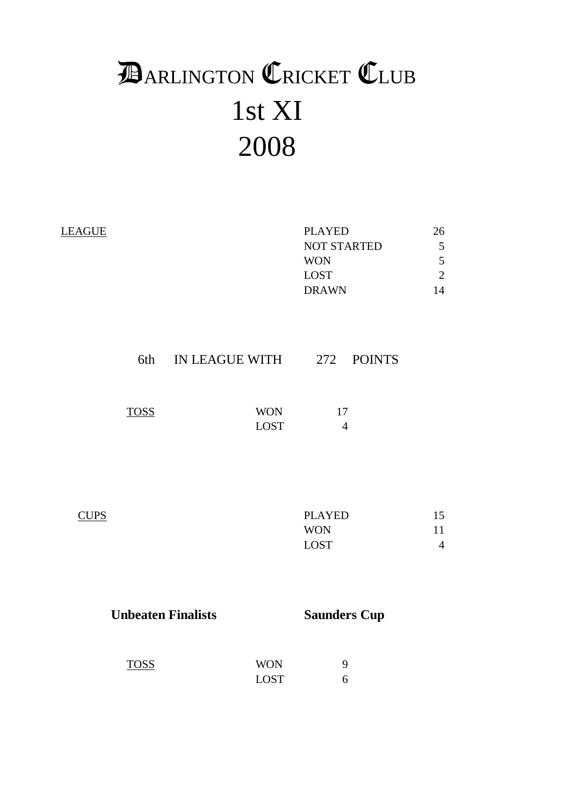# 1st XI 2008 **DARLINGTON CRICKET CLUB**

| <b>LEAGUE</b> |             |                           | <b>PLAYED</b><br><b>NOT STARTED</b><br><b>WON</b><br><b>LOST</b><br><b>DRAWN</b> | 26<br>5<br>5<br>$\overline{2}$<br>14 |
|---------------|-------------|---------------------------|----------------------------------------------------------------------------------|--------------------------------------|
|               | 6th         | IN LEAGUE WITH 272 POINTS |                                                                                  |                                      |
|               | <b>TOSS</b> | <b>WON</b><br><b>LOST</b> | 17<br>$\overline{4}$                                                             |                                      |
| <b>CUPS</b>   |             |                           | <b>PLAYED</b><br><b>WON</b><br><b>LOST</b>                                       | 15<br>11<br>$\overline{4}$           |

| <b>Unbeaten Finalists</b> |                           | <b>Saunders Cup</b> |
|---------------------------|---------------------------|---------------------|
| <b>TOSS</b>               | <b>WON</b><br><b>LOST</b> | 9                   |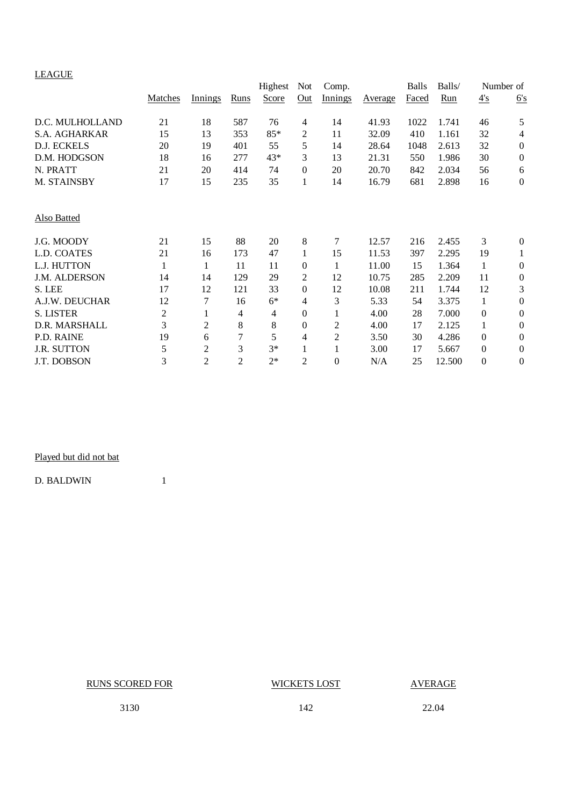# LEAGUE

| LEAUUE               | Matches        | <i>Innings</i> | Runs           | Highest<br>Score | Not<br>Out     | Comp.<br><b>Innings</b> | Average | <b>Balls</b><br>Faced | Balls/<br>Run | $\frac{4}{\cdot}$ s | Number of<br>6's |
|----------------------|----------------|----------------|----------------|------------------|----------------|-------------------------|---------|-----------------------|---------------|---------------------|------------------|
|                      |                |                |                |                  |                |                         |         |                       |               |                     |                  |
| D.C. MULHOLLAND      | 21             | 18             | 587            | 76               | $\overline{4}$ | 14                      | 41.93   | 1022                  | 1.741         | 46                  | 5                |
| <b>S.A. AGHARKAR</b> | 15             | 13             | 353            | 85*              | 2              | 11                      | 32.09   | 410                   | 1.161         | 32                  | 4                |
| D.J. ECKELS          | 20             | 19             | 401            | 55               | 5              | 14                      | 28.64   | 1048                  | 2.613         | 32                  | $\boldsymbol{0}$ |
| D.M. HODGSON         | 18             | 16             | 277            | 43*              | 3              | 13                      | 21.31   | 550                   | 1.986         | 30                  | $\boldsymbol{0}$ |
| N. PRATT             | 21             | 20             | 414            | 74               | $\Omega$       | 20                      | 20.70   | 842                   | 2.034         | 56                  | 6                |
| M. STAINSBY          | 17             | 15             | 235            | 35               | 1              | 14                      | 16.79   | 681                   | 2.898         | 16                  | $\boldsymbol{0}$ |
| Also Batted          |                |                |                |                  |                |                         |         |                       |               |                     |                  |
| J.G. MOODY           | 21             | 15             | 88             | 20               | 8              | 7                       | 12.57   | 216                   | 2.455         | 3                   | $\mathbf{0}$     |
| L.D. COATES          | 21             | 16             | 173            | 47               | 1              | 15                      | 11.53   | 397                   | 2.295         | 19                  | 1                |
| L.J. HUTTON          | 1              | 1              | 11             | 11               | $\Omega$       | 1                       | 11.00   | 15                    | 1.364         | $\mathbf{1}$        | $\boldsymbol{0}$ |
| J.M. ALDERSON        | 14             | 14             | 129            | 29               | $\overline{2}$ | 12                      | 10.75   | 285                   | 2.209         | 11                  | $\boldsymbol{0}$ |
| S. LEE               | 17             | 12             | 121            | 33               | $\Omega$       | 12                      | 10.08   | 211                   | 1.744         | 12                  | 3                |
| A.J.W. DEUCHAR       | 12             | 7              | 16             | $6*$             | 4              | 3                       | 5.33    | 54                    | 3.375         | 1                   | $\theta$         |
| <b>S. LISTER</b>     | $\overline{2}$ | 1              | 4              | 4                | $\mathbf{0}$   | 1                       | 4.00    | 28                    | 7.000         | $\boldsymbol{0}$    | $\boldsymbol{0}$ |
| D.R. MARSHALL        | 3              | 2              | 8              | 8                | $\theta$       | 2                       | 4.00    | 17                    | 2.125         | 1                   | $\theta$         |
| P.D. RAINE           | 19             | 6              | 7              | 5                | 4              | $\overline{c}$          | 3.50    | 30                    | 4.286         | $\boldsymbol{0}$    | $\boldsymbol{0}$ |
| <b>J.R. SUTTON</b>   | 5              | 2              | 3              | $3*$             |                | 1                       | 3.00    | 17                    | 5.667         | $\boldsymbol{0}$    | $\boldsymbol{0}$ |
| J.T. DOBSON          | 3              | 2              | $\overline{2}$ | $2*$             | $\overline{2}$ | $\theta$                | N/A     | 25                    | 12.500        | $\boldsymbol{0}$    | $\boldsymbol{0}$ |

Played but did not bat

D. BALDWIN 1

RUNS SCORED FOR WICKETS LOST AVERAGE

3130 142 22.04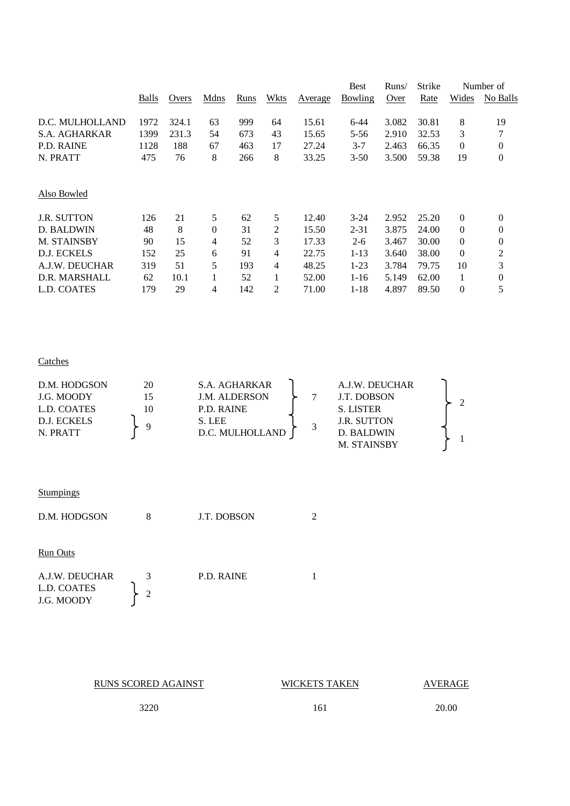|       |       |          |      |      |         | <b>Best</b>    | Runs/ | Strike |              | Number of        |
|-------|-------|----------|------|------|---------|----------------|-------|--------|--------------|------------------|
| Balls | Overs | Mdns     | Runs | Wkts | Average | <b>Bowling</b> | Over  | Rate   | Wides        | No Balls         |
| 1972  | 324.1 | 63       | 999  | 64   | 15.61   | 6-44           | 3.082 | 30.81  | 8            | 19               |
| 1399  | 231.3 | 54       | 673  | 43   | 15.65   | 5-56           | 2.910 | 32.53  | 3            | 7                |
| 1128  | 188   | 67       | 463  | 17   | 27.24   | $3 - 7$        | 2.463 | 66.35  | $\mathbf{0}$ | $\theta$         |
| 475   | 76    | 8        | 266  | 8    | 33.25   | $3 - 50$       | 3.500 | 59.38  | 19           | $\boldsymbol{0}$ |
|       |       |          |      |      |         |                |       |        |              |                  |
| 126   | 21    | 5        | 62   | 5    | 12.40   | $3-24$         | 2.952 | 25.20  | $\theta$     | $\theta$         |
| 48    | 8     | $\theta$ | 31   | 2    | 15.50   | $2 - 31$       | 3.875 | 24.00  | $\mathbf{0}$ | 0                |
| 90    | 15    | 4        | 52   | 3    | 17.33   | $2 - 6$        | 3.467 | 30.00  | $\mathbf{0}$ | $\theta$         |
| 152   | 25    | 6        | 91   | 4    | 22.75   | $1 - 13$       | 3.640 | 38.00  | $\mathbf{0}$ | $\overline{2}$   |
| 319   | 51    | 5        | 193  | 4    | 48.25   | $1-23$         | 3.784 | 79.75  | 10           | 3                |
| 62    | 10.1  |          | 52   |      | 52.00   | $1 - 16$       | 5.149 | 62.00  | 1            | $\overline{0}$   |
| 179   | 29    | 4        | 142  | 2    | 71.00   | $1 - 18$       | 4.897 | 89.50  | $\theta$     | 5                |
|       |       |          |      |      |         |                |       |        |              |                  |

### **Catches**

| D.M. HODGSON | 20 | S.A. AGHARKAR        |  | A.J.W. DEUCHAR     |  |
|--------------|----|----------------------|--|--------------------|--|
| J.G. MOODY   | 15 | <b>J.M. ALDERSON</b> |  | J.T. DOBSON        |  |
| L.D. COATES  | 10 | P.D. RAINE           |  | S. LISTER          |  |
| D.J. ECKELS  |    | S. LEE               |  | <b>J.R. SUTTON</b> |  |
| N. PRATT     |    | D.C. MULHOLLAND      |  | D. BALDWIN         |  |
|              |    |                      |  | M. STAINSBY        |  |

| Stumpings |  |
|-----------|--|
|           |  |
|           |  |

| D.M. HODGSON                                | 8                   | J.T. DOBSON       |  |
|---------------------------------------------|---------------------|-------------------|--|
| <b>Run Outs</b>                             |                     |                   |  |
| A.J.W. DEUCHAR<br>L.D. COATES<br>J.G. MOODY | 3<br>$\overline{2}$ | <b>P.D. RAINE</b> |  |

| <b>RUNS SCORED AGAINST</b> | <b>WICKETS TAKEN</b> | <b>AVERAGE</b> |
|----------------------------|----------------------|----------------|
| 3220                       | 161                  | 20.00          |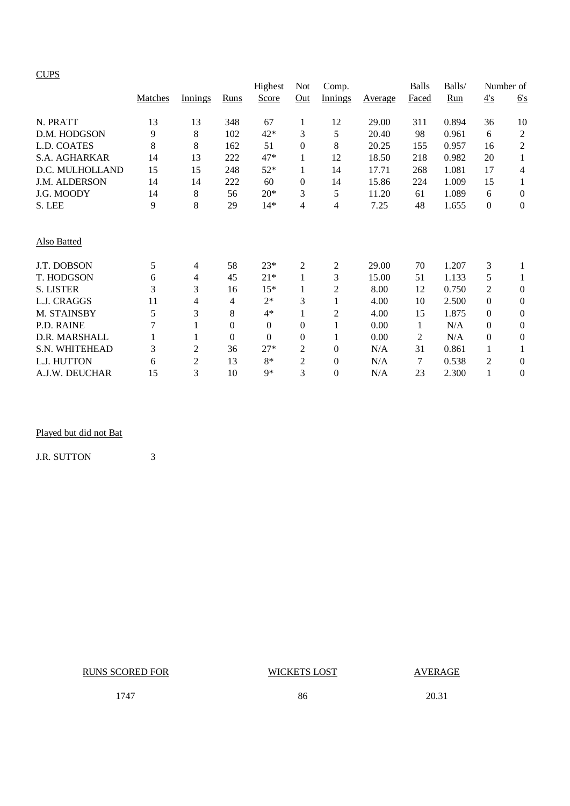|                    |         |                |          | Highest      | <b>Not</b>       | Comp.    |                        | Balls          | Balls/ |                | Number of        |
|--------------------|---------|----------------|----------|--------------|------------------|----------|------------------------|----------------|--------|----------------|------------------|
|                    | Matches | Innings        | Runs     | Score        | Out              | Innings  | <b>A</b> <u>verage</u> | Faced          | Run    | 4's            | 6's              |
| N. PRATT           | 13      | 13             | 348      | 67           | $\mathbf{1}$     | 12       | 29.00                  | 311            | 0.894  | 36             | 10               |
| D.M. HODGSON       | 9       | 8              | 102      | $42*$        | 3                | 5        | 20.40                  | 98             | 0.961  | 6              | $\mathfrak{2}$   |
| L.D. COATES        | 8       | 8              | 162      | 51           | $\theta$         | 8        | 20.25                  | 155            | 0.957  | 16             | $\sqrt{2}$       |
| S.A. AGHARKAR      | 14      | 13             | 222      | 47*          | $\mathbf{1}$     | 12       | 18.50                  | 218            | 0.982  | 20             | 1                |
| D.C. MULHOLLAND    | 15      | 15             | 248      | $52*$        | 1                | 14       | 17.71                  | 268            | 1.081  | 17             | 4                |
| J.M. ALDERSON      | 14      | 14             | 222      | 60           | $\theta$         | 14       | 15.86                  | 224            | 1.009  | 15             | 1                |
| J.G. MOODY         | 14      | 8              | 56       | $20*$        | 3                | 5        | 11.20                  | 61             | 1.089  | 6              | $\theta$         |
| S. LEE             | 9       | 8              | 29       | $14*$        | 4                | 4        | 7.25                   | 48             | 1.655  | $\mathbf{0}$   | $\theta$         |
| <b>Also Batted</b> |         |                |          |              |                  |          |                        |                |        |                |                  |
| J.T. DOBSON        | 5       | 4              | 58       | 23*          | $\overline{c}$   | 2        | 29.00                  | 70             | 1.207  | 3              | 1                |
| T. HODGSON         | 6       | 4              | 45       | $21*$        | $\mathbf{1}$     | 3        | 15.00                  | 51             | 1.133  | 5              |                  |
| <b>S. LISTER</b>   | 3       | 3              | 16       | $15*$        | 1                | 2        | 8.00                   | 12             | 0.750  | $\overline{2}$ | $\overline{0}$   |
| L.J. CRAGGS        | 11      | 4              | 4        | $2*$         | 3                |          | 4.00                   | 10             | 2.500  | $\theta$       | $\boldsymbol{0}$ |
| M. STAINSBY        | 5       | 3              | 8        | $4*$         | 1                | 2        | 4.00                   | 15             | 1.875  | 0              | $\theta$         |
| P.D. RAINE         | 7       | 1              | 0        | $\mathbf{0}$ | $\boldsymbol{0}$ |          | 0.00                   | 1              | N/A    | 0              | $\theta$         |
| D.R. MARSHALL      |         | 1              | $\theta$ | $\Omega$     | $\overline{0}$   |          | 0.00                   | $\overline{2}$ | N/A    | $\Omega$       | $\theta$         |
| S.N. WHITEHEAD     | 3       | $\overline{c}$ | 36       | $27*$        | 2                | 0        | N/A                    | 31             | 0.861  | 1              |                  |
| L.J. HUTTON        | 6       | $\overline{c}$ | 13       | $8*$         | $\overline{2}$   | 0        | N/A                    | 7              | 0.538  | 2              | $\theta$         |
| A.J.W. DEUCHAR     | 15      | 3              | 10       | $9*$         | 3                | $\theta$ | N/A                    | 23             | 2.300  |                | $\overline{0}$   |

# Played but did not Bat

J.R. SUTTON 3

RUNS SCORED FOR WICKETS LOST AVERAGE

1747 86 20.31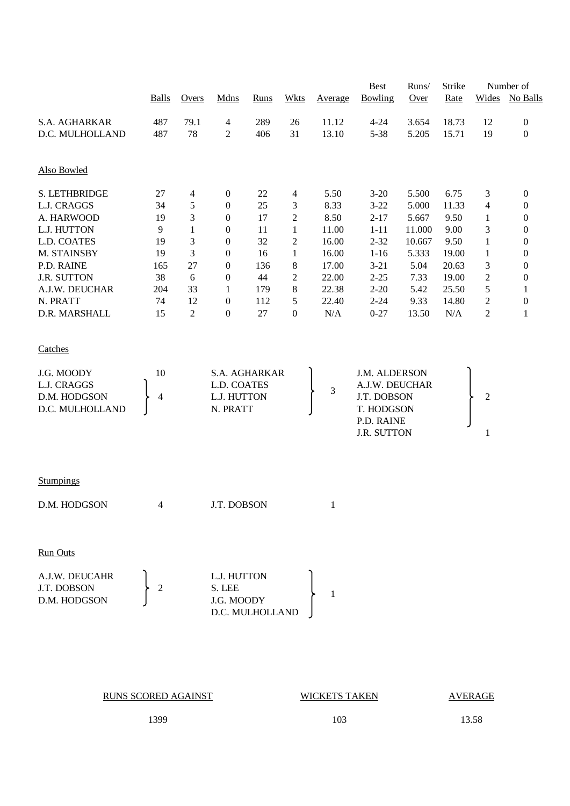|                    |              |                |                  |             |                  | Best    | Runs/              | Strike | Number of |                |                  |
|--------------------|--------------|----------------|------------------|-------------|------------------|---------|--------------------|--------|-----------|----------------|------------------|
|                    | <b>Balls</b> | Overs          | Mdns             | <b>Runs</b> | <b>Wkts</b>      | Average | Bowling            | Over   | Rate      | Wides          | No Balls         |
| S.A. AGHARKAR      | 487          | 79.1           | 4                | 289         | 26               | 11.12   | $4 - 24$           | 3.654  | 18.73     | 12             | $\boldsymbol{0}$ |
| D.C. MULHOLLAND    | 487          | 78             | $\overline{c}$   | 406         | 31               | 13.10   | $5 - 38$           | 5.205  | 15.71     | 19             | $\boldsymbol{0}$ |
|                    |              |                |                  |             |                  |         |                    |        |           |                |                  |
| Also Bowled        |              |                |                  |             |                  |         |                    |        |           |                |                  |
| S. LETHBRIDGE      | 27           | 4              | 0                | 22          | $\overline{4}$   | 5.50    | $3 - 20$           | 5.500  | 6.75      | 3              | $\boldsymbol{0}$ |
| L.J. CRAGGS        | 34           | 5              | $\boldsymbol{0}$ | 25          | $\mathfrak{Z}$   | 8.33    | $3 - 22$           | 5.000  | 11.33     | 4              | $\boldsymbol{0}$ |
| A. HARWOOD         | 19           | 3              | $\boldsymbol{0}$ | 17          | $\overline{c}$   | 8.50    | $2 - 17$           | 5.667  | 9.50      | 1              | $\boldsymbol{0}$ |
| L.J. HUTTON        | 9            | $\mathbf{1}$   | $\boldsymbol{0}$ | 11          | 1                | 11.00   | $1 - 11$           | 11.000 | 9.00      | 3              | $\boldsymbol{0}$ |
| L.D. COATES        | 19           | $\mathfrak{Z}$ | $\boldsymbol{0}$ | 32          | $\boldsymbol{2}$ | 16.00   | $2 - 32$           | 10.667 | 9.50      | $\mathbf 1$    | $\boldsymbol{0}$ |
| M. STAINSBY        | 19           | 3              | 0                | 16          | $\mathbf{1}$     | 16.00   | $1 - 16$           | 5.333  | 19.00     | $\mathbf{1}$   | $\boldsymbol{0}$ |
| P.D. RAINE         | 165          | 27             | 0                | 136         | $8\,$            | 17.00   | $3 - 21$           | 5.04   | 20.63     | 3              | $\boldsymbol{0}$ |
| <b>J.R. SUTTON</b> | 38           | 6              | 0                | 44          | $\overline{c}$   | 22.00   | $2 - 25$           | 7.33   | 19.00     | $\overline{c}$ | $\boldsymbol{0}$ |
| A.J.W. DEUCHAR     | 204          | 33             | 1                | 179         | $\,8\,$          | 22.38   | $2 - 20$           | 5.42   | 25.50     | 5              | 1                |
| N. PRATT           | 74           | 12             | $\boldsymbol{0}$ | 112         | $\sqrt{5}$       | 22.40   | $2 - 24$           | 9.33   | 14.80     | $\overline{c}$ | $\boldsymbol{0}$ |
| D.R. MARSHALL      | 15           | $\overline{2}$ | $\boldsymbol{0}$ | 27          | $\boldsymbol{0}$ | N/A     | $0 - 27$           | 13.50  | N/A       | $\overline{2}$ | 1                |
| Catches            |              |                |                  |             |                  |         |                    |        |           |                |                  |
| J.G. MOODY         | 10           |                | S.A. AGHARKAR    |             |                  |         | J.M. ALDERSON      |        |           |                |                  |
| L.J. CRAGGS        |              |                | L.D. COATES      |             |                  |         | A.J.W. DEUCHAR     |        |           |                |                  |
| D.M. HODGSON       | 4            |                | L.J. HUTTON      |             |                  | 3       | J.T. DOBSON        |        |           | $\overline{c}$ |                  |
| D.C. MULHOLLAND    |              |                | N. PRATT         |             |                  |         | T. HODGSON         |        |           |                |                  |
|                    |              |                |                  |             |                  |         | P.D. RAINE         |        |           |                |                  |
|                    |              |                |                  |             |                  |         | <b>J.R. SUTTON</b> |        |           | 1              |                  |
|                    |              |                |                  |             |                  |         |                    |        |           |                |                  |
| <b>Stumpings</b>   |              |                |                  |             |                  |         |                    |        |           |                |                  |
| D.M. HODGSON       | 4            |                | J.T. DOBSON      |             |                  | 1       |                    |        |           |                |                  |
|                    |              |                |                  |             |                  |         |                    |        |           |                |                  |
| <b>Run Outs</b>    |              |                |                  |             |                  |         |                    |        |           |                |                  |
|                    |              |                |                  |             |                  |         |                    |        |           |                |                  |
| A.J.W. DEUCAHR     |              |                | L.J. HUTTON      |             |                  |         |                    |        |           |                |                  |
| J.T. DOBSON        | 2            |                | S. LEE           |             |                  | 1       |                    |        |           |                |                  |
| D.M. HODGSON       |              |                | J.G. MOODY       |             |                  |         |                    |        |           |                |                  |
|                    |              |                | D.C. MULHOLLAND  |             |                  |         |                    |        |           |                |                  |

**WICKETS TAKEN AVERAGE** 

1399 103 13.58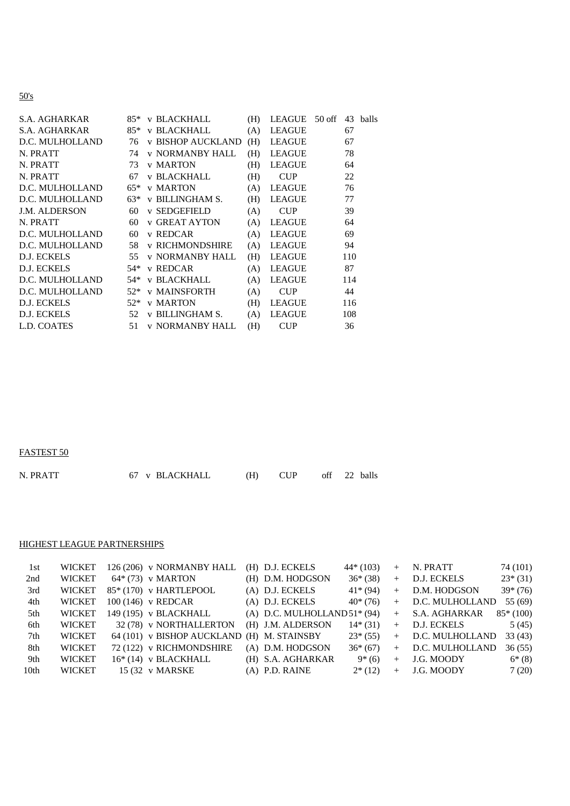# 50's

| S.A. AGHARKAR        | 85*   | v BLACKHALL              | (H) | LEAGUE 50 off |     | 43 balls |
|----------------------|-------|--------------------------|-----|---------------|-----|----------|
| <b>S.A. AGHARKAR</b> | 85*   | v BLACKHALL              | (A) | <b>LEAGUE</b> | 67  |          |
| D.C. MULHOLLAND      | 76    | <b>v BISHOP AUCKLAND</b> | (H) | <b>LEAGUE</b> | 67  |          |
| N. PRATT             | 74    | <b>v NORMANBY HALL</b>   | (H) | <b>LEAGUE</b> | 78  |          |
| N. PRATT             | 73    | <b>v MARTON</b>          | (H) | <b>LEAGUE</b> | 64  |          |
| N. PRATT             | 67    | v BLACKHALL              | (H) | <b>CUP</b>    | 22  |          |
| D.C. MULHOLLAND      | $65*$ | <b>v MARTON</b>          | (A) | <b>LEAGUE</b> | 76  |          |
| D.C. MULHOLLAND      | $63*$ | <b>v BILLINGHAM S.</b>   | (H) | <b>LEAGUE</b> | 77  |          |
| <b>J.M. ALDERSON</b> | 60    | <b>v SEDGEFIELD</b>      | (A) | <b>CUP</b>    | 39  |          |
| N. PRATT             | 60    | <b>v GREAT AYTON</b>     | (A) | <b>LEAGUE</b> | 64  |          |
| D.C. MULHOLLAND      | 60    | v REDCAR                 | (A) | <b>LEAGUE</b> | 69  |          |
| D.C. MULHOLLAND      | 58    | <b>v RICHMONDSHIRE</b>   | (A) | <b>LEAGUE</b> | 94  |          |
| D.J. ECKELS          | 55    | <b>v NORMANBY HALL</b>   | (H) | <b>LEAGUE</b> | 110 |          |
| D.J. ECKELS          | .54*  | v REDCAR                 | (A) | <b>LEAGUE</b> | 87  |          |
| D.C. MULHOLLAND      | 54*   | v BLACKHALL              | (A) | <b>LEAGUE</b> | 114 |          |
| D.C. MULHOLLAND      |       | 52* v MAINSFORTH         | (A) | <b>CUP</b>    | 44  |          |
| D.J. ECKELS          | $52*$ | <b>v MARTON</b>          | (H) | <b>LEAGUE</b> | 116 |          |
| D.J. ECKELS          | 52    | <b>v BILLINGHAM S.</b>   | (A) | <b>LEAGUE</b> | 108 |          |
| L.D. COATES          | 51    | <b>v NORMANBY HALL</b>   | (H) | <b>CUP</b>    | 36  |          |

FASTEST 50

| off 22 balls<br>67 v BLACKHALL | N. PRATT |  |  |  |  |  |  |  |  |  |
|--------------------------------|----------|--|--|--|--|--|--|--|--|--|
|--------------------------------|----------|--|--|--|--|--|--|--|--|--|

# HIGHEST LEAGUE PARTNERSHIPS

| - 1st            | <b>WICKET</b> | 126 (206) v NORMANBY HALL  | (H) D.J. ECKELS               | $44*(103)$ | $+$ | N. PRATT        | 74 (101)   |
|------------------|---------------|----------------------------|-------------------------------|------------|-----|-----------------|------------|
| 2nd              | <b>WICKET</b> | $64*(73)$ v MARTON         | (H) D.M. HODGSON              | $36*(38)$  | $+$ | D.J. ECKELS     | $23*(31)$  |
| 3rd              | <b>WICKET</b> | 85* (170) v HARTLEPOOL     | (A) D.J. ECKELS               | $41*(94)$  | $+$ | D.M. HODGSON    | $39*(76)$  |
| 4th              | <b>WICKET</b> | 100 (146) v REDCAR         | (A) D.J. ECKELS               | $40*(76)$  | $+$ | D.C. MULHOLLAND | 55 (69)    |
| 5th              | <b>WICKET</b> | 149 (195) v BLACKHALL      | (A) D.C. MULHOLLAND $51*(94)$ |            | $+$ | S.A. AGHARKAR   | $85*(100)$ |
| 6th              | <b>WICKET</b> | 32 (78) v NORTHALLERTON    | (H) J.M. ALDERSON             | $14*(31)$  | $+$ | D.J. ECKELS     | 5(45)      |
| 7th              | <b>WICKET</b> | 64 (101) v BISHOP AUCKLAND | (H) M. STAINSBY               | $23*(55)$  | $+$ | D.C. MULHOLLAND | 33(43)     |
| 8th              | <b>WICKET</b> | 72 (122) v RICHMONDSHIRE   | (A) D.M. HODGSON              | $36*(67)$  | $+$ | D.C. MULHOLLAND | 36(55)     |
| 9th              | <b>WICKET</b> | $16*(14)$ v BLACKHALL      | (H) S.A. AGHARKAR             | $9*(6)$    | $+$ | J.G. MOODY      | $6*(8)$    |
| 10 <sub>th</sub> | <b>WICKET</b> | 15 (32 v MARSKE)           | $(A)$ P.D. RAINE              | $2*(12)$   | $+$ | J.G. MOODY      | 7(20)      |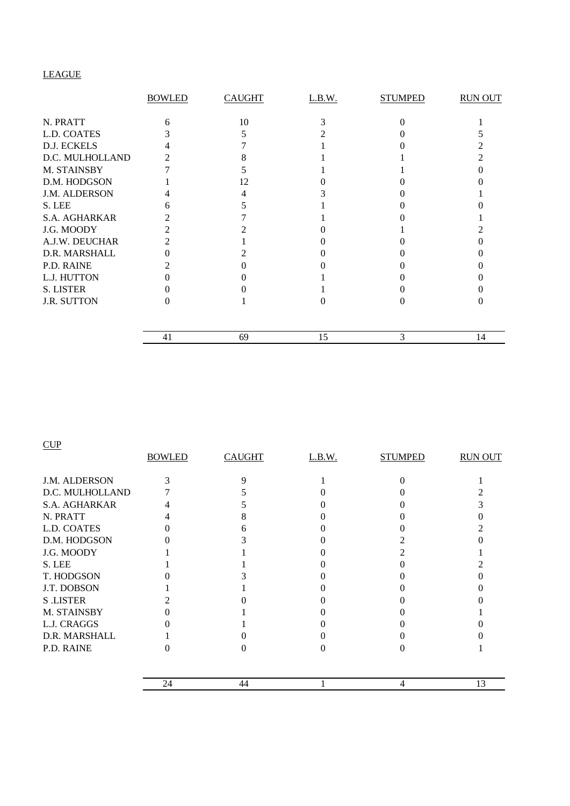# LEAGUE

|                      | <b>BOWLED</b> | <b>CAUGHT</b> | L.B.W. | <b>STUMPED</b> | <b>RUN OUT</b> |
|----------------------|---------------|---------------|--------|----------------|----------------|
| N. PRATT             | 6             | 10            |        |                |                |
| L.D. COATES          |               |               |        |                |                |
| D.J. ECKELS          |               |               |        |                |                |
| D.C. MULHOLLAND      |               |               |        |                |                |
| M. STAINSBY          |               |               |        |                |                |
| D.M. HODGSON         |               | 12            |        |                |                |
| <b>J.M. ALDERSON</b> |               |               |        |                |                |
| S. LEE               |               |               |        |                |                |
| <b>S.A. AGHARKAR</b> |               |               |        |                |                |
| J.G. MOODY           |               |               |        |                |                |
| A.J.W. DEUCHAR       | 2             |               |        |                |                |
| D.R. MARSHALL        |               |               |        |                |                |
| P.D. RAINE           |               |               |        |                |                |
| L.J. HUTTON          |               |               |        |                |                |
| <b>S. LISTER</b>     |               |               |        |                |                |
| <b>J.R. SUTTON</b>   |               |               |        |                |                |
|                      | 41            | 69            | 15     | 3              | 14             |

### **CUP**

|                      | <b>BOWLED</b> | <b>CAUGHT</b> | L.B.W. | <b>STUMPED</b> | <b>RUN OUT</b> |
|----------------------|---------------|---------------|--------|----------------|----------------|
| <b>J.M. ALDERSON</b> |               | Q             |        |                |                |
| D.C. MULHOLLAND      |               |               |        |                |                |
| S.A. AGHARKAR        |               |               |        |                |                |
| N. PRATT             |               |               |        |                |                |
| L.D. COATES          |               |               |        |                |                |
| D.M. HODGSON         |               |               |        |                |                |
| J.G. MOODY           |               |               |        |                |                |
| S. LEE               |               |               |        |                |                |
| T. HODGSON           |               |               |        |                |                |
| J.T. DOBSON          |               |               |        |                |                |
| <b>S</b> .LISTER     |               |               |        |                |                |
| M. STAINSBY          |               |               |        |                |                |
| L.J. CRAGGS          |               |               |        |                |                |
| D.R. MARSHALL        |               |               |        |                |                |
| P.D. RAINE           |               |               |        |                |                |
|                      | 24            | 44            |        | 4              | 13             |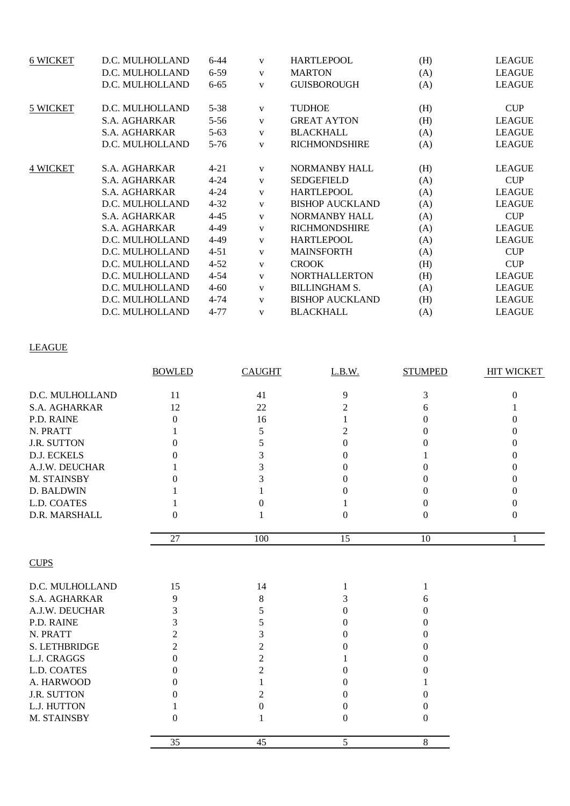| <b>6 WICKET</b> | D.C. MULHOLLAND      | $6 - 44$ | V            | <b>HARTLEPOOL</b>      | (H) | <b>LEAGUE</b> |
|-----------------|----------------------|----------|--------------|------------------------|-----|---------------|
|                 | D.C. MULHOLLAND      | $6 - 59$ | V            | <b>MARTON</b>          | (A) | <b>LEAGUE</b> |
|                 | D.C. MULHOLLAND      | $6 - 65$ | V            | <b>GUISBOROUGH</b>     | (A) | <b>LEAGUE</b> |
| 5 WICKET        | D.C. MULHOLLAND      | $5 - 38$ | V            | <b>TUDHOE</b>          | (H) | <b>CUP</b>    |
|                 | S.A. AGHARKAR        | $5 - 56$ | V            | <b>GREAT AYTON</b>     | (H) | <b>LEAGUE</b> |
|                 | <b>S.A. AGHARKAR</b> | $5 - 63$ | $\mathbf{V}$ | <b>BLACKHALL</b>       | (A) | <b>LEAGUE</b> |
|                 | D.C. MULHOLLAND      | $5 - 76$ | V            | <b>RICHMONDSHIRE</b>   | (A) | <b>LEAGUE</b> |
| <b>4 WICKET</b> | S.A. AGHARKAR        | $4 - 21$ | V            | <b>NORMANBY HALL</b>   | (H) | <b>LEAGUE</b> |
|                 | S.A. AGHARKAR        | $4 - 24$ | V            | <b>SEDGEFIELD</b>      | (A) | <b>CUP</b>    |
|                 | S.A. AGHARKAR        | $4 - 24$ | V            | <b>HARTLEPOOL</b>      | (A) | <b>LEAGUE</b> |
|                 | D.C. MULHOLLAND      | $4 - 32$ | V            | <b>BISHOP AUCKLAND</b> | (A) | <b>LEAGUE</b> |
|                 | <b>S.A. AGHARKAR</b> | $4 - 45$ | V            | <b>NORMANBY HALL</b>   | (A) | <b>CUP</b>    |
|                 | S.A. AGHARKAR        | 4-49     | V            | <b>RICHMONDSHIRE</b>   | (A) | <b>LEAGUE</b> |
|                 | D.C. MULHOLLAND      | 4-49     | V            | <b>HARTLEPOOL</b>      | (A) | <b>LEAGUE</b> |
|                 | D.C. MULHOLLAND      | $4 - 51$ | V            | <b>MAINSFORTH</b>      | (A) | <b>CUP</b>    |
|                 | D.C. MULHOLLAND      | $4 - 52$ | V            | <b>CROOK</b>           | (H) | <b>CUP</b>    |
|                 | D.C. MULHOLLAND      | $4 - 54$ | V            | <b>NORTHALLERTON</b>   | (H) | <b>LEAGUE</b> |
|                 | D.C. MULHOLLAND      | $4 - 60$ | V            | <b>BILLINGHAM S.</b>   | (A) | <b>LEAGUE</b> |
|                 | D.C. MULHOLLAND      | $4 - 74$ | V            | <b>BISHOP AUCKLAND</b> | (H) | <b>LEAGUE</b> |
|                 | D.C. MULHOLLAND      | 4-77     | V            | <b>BLACKHALL</b>       | (A) | <b>LEAGUE</b> |

# LEAGUE

|                    | <b>BOWLED</b>     | <b>CAUGHT</b> | L.B.W.   | <b>STUMPED</b>    | HIT WICKET        |
|--------------------|-------------------|---------------|----------|-------------------|-------------------|
|                    |                   |               |          |                   |                   |
| D.C. MULHOLLAND    | 11                | 41            | 9        | 3                 | $\overline{0}$    |
| S.A. AGHARKAR      | 12                | 22            | 2        | 6                 |                   |
| P.D. RAINE         | $\Omega$          | 16            |          | 0                 | $\mathbf{\Omega}$ |
| N. PRATT           |                   | 5             |          | $_{0}$            | $\theta$          |
| <b>J.R. SUTTON</b> | 0                 |               |          | $\mathbf{\Omega}$ | $\theta$          |
| D.J. ECKELS        | $\mathbf{\Omega}$ |               |          |                   | $\mathbf{0}$      |
| A.J.W. DEUCHAR     |                   |               |          | 0                 | $\theta$          |
| M. STAINSBY        | $\mathbf{\Omega}$ |               |          | 0                 | 0                 |
| D. BALDWIN         |                   |               |          | 0                 | 0                 |
| L.D. COATES        |                   |               |          | $_{0}$            | $\mathbf{0}$      |
| D.R. MARSHALL      | $\Omega$          |               | $\theta$ | $\theta$          | $\overline{0}$    |
|                    | 27                | 100           | 15       | 10                | 1                 |
| <b>CUPS</b>        |                   |               |          |                   |                   |
| D.C. MULHOLLAND    | 15                | 14            |          |                   |                   |
| S.A. AGHARKAR      | 9                 | 8             |          | 6                 |                   |
| A.J.W. DEUCHAR     | 3                 |               |          | 0                 |                   |
| P.D. RAINE         | 3                 |               |          | $_{0}$            |                   |
| N. PRATT           |                   |               |          | 0                 |                   |
| S. LETHBRIDGE      | 2                 |               |          | $\theta$          |                   |
| L.J. CRAGGS        | 0                 |               |          | 0                 |                   |
| L.D. COATES        | 0                 | 2             |          | 0                 |                   |
| A. HARWOOD         | 0                 |               |          |                   |                   |
| <b>J.R. SUTTON</b> | 0                 |               |          | $\mathbf{\Omega}$ |                   |
| L.J. HUTTON        |                   |               |          | 0                 |                   |
| M. STAINSBY        | 0                 |               | 0        | $\Omega$          |                   |

35 45 5 8